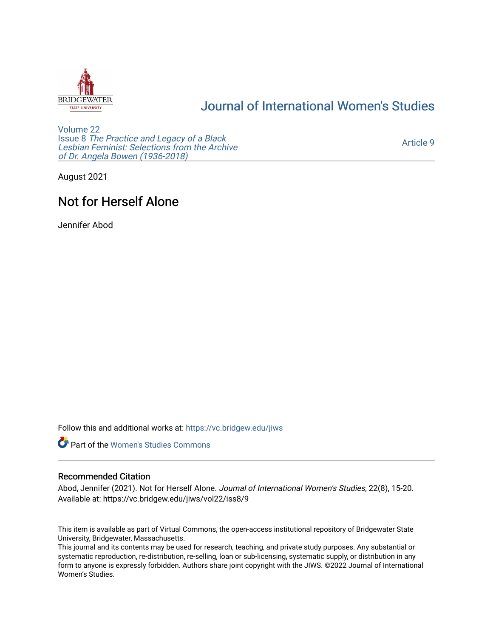

## [Journal of International Women's Studies](https://vc.bridgew.edu/jiws)

[Volume 22](https://vc.bridgew.edu/jiws/vol22) Issue 8 [The Practice and Legacy of a Black](https://vc.bridgew.edu/jiws/vol22/iss8)  [Lesbian Feminist: Selections from the Archive](https://vc.bridgew.edu/jiws/vol22/iss8)  [of Dr. Angela Bowen \(1936-2018\)](https://vc.bridgew.edu/jiws/vol22/iss8)

[Article 9](https://vc.bridgew.edu/jiws/vol22/iss8/9) 

August 2021

# Not for Herself Alone

Jennifer Abod

Follow this and additional works at: [https://vc.bridgew.edu/jiws](https://vc.bridgew.edu/jiws?utm_source=vc.bridgew.edu%2Fjiws%2Fvol22%2Fiss8%2F9&utm_medium=PDF&utm_campaign=PDFCoverPages)



## Recommended Citation

Abod, Jennifer (2021). Not for Herself Alone. Journal of International Women's Studies, 22(8), 15-20. Available at: https://vc.bridgew.edu/jiws/vol22/iss8/9

This item is available as part of Virtual Commons, the open-access institutional repository of Bridgewater State University, Bridgewater, Massachusetts.

This journal and its contents may be used for research, teaching, and private study purposes. Any substantial or systematic reproduction, re-distribution, re-selling, loan or sub-licensing, systematic supply, or distribution in any form to anyone is expressly forbidden. Authors share joint copyright with the JIWS. ©2022 Journal of International Women's Studies.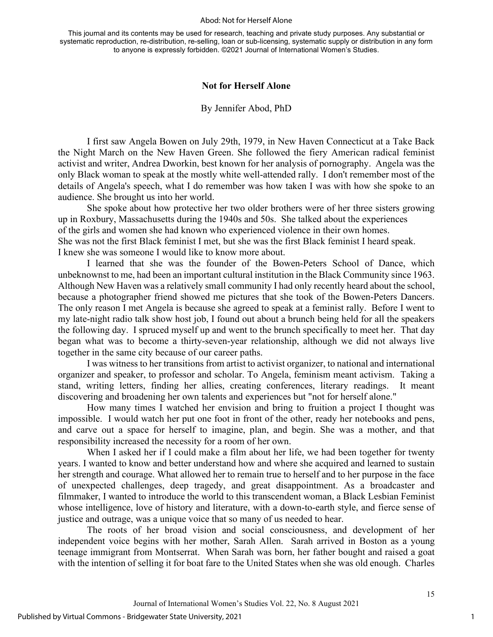#### Abod: Not for Herself Alone

This journal and its contents may be used for research, teaching and private study purposes. Any substantial or systematic reproduction, re-distribution, re-selling, loan or sub-licensing, systematic supply or distribution in any form to anyone is expressly forbidden. ©2021 Journal of International Women's Studies.

### **Not for Herself Alone**

### By Jennifer Abod, PhD

I first saw Angela Bowen on July 29th, 1979, in New Haven Connecticut at a Take Back the Night March on the New Haven Green. She followed the fiery American radical feminist activist and writer, Andrea Dworkin, best known for her analysis of pornography. Angela was the only Black woman to speak at the mostly white well-attended rally. I don't remember most of the details of Angela's speech, what I do remember was how taken I was with how she spoke to an audience. She brought us into her world.

She spoke about how protective her two older brothers were of her three sisters growing up in Roxbury, Massachusetts during the 1940s and 50s. She talked about the experiences of the girls and women she had known who experienced violence in their own homes. She was not the first Black feminist I met, but she was the first Black feminist I heard speak. I knew she was someone I would like to know more about.

I learned that she was the founder of the Bowen-Peters School of Dance, which unbeknownst to me, had been an important cultural institution in the Black Community since 1963. Although New Haven was a relatively small community I had only recently heard about the school, because a photographer friend showed me pictures that she took of the Bowen-Peters Dancers. The only reason I met Angela is because she agreed to speak at a feminist rally. Before I went to my late-night radio talk show host job, I found out about a brunch being held for all the speakers the following day. I spruced myself up and went to the brunch specifically to meet her. That day began what was to become a thirty-seven-year relationship, although we did not always live together in the same city because of our career paths.

I was witness to her transitions from artist to activist organizer, to national and international organizer and speaker, to professor and scholar. To Angela, feminism meant activism. Taking a stand, writing letters, finding her allies, creating conferences, literary readings. It meant discovering and broadening her own talents and experiences but "not for herself alone."

How many times I watched her envision and bring to fruition a project I thought was impossible. I would watch her put one foot in front of the other, ready her notebooks and pens, and carve out a space for herself to imagine, plan, and begin. She was a mother, and that responsibility increased the necessity for a room of her own.

When I asked her if I could make a film about her life, we had been together for twenty years. I wanted to know and better understand how and where she acquired and learned to sustain her strength and courage. What allowed her to remain true to herself and to her purpose in the face of unexpected challenges, deep tragedy, and great disappointment. As a broadcaster and filmmaker, I wanted to introduce the world to this transcendent woman, a Black Lesbian Feminist whose intelligence, love of history and literature, with a down-to-earth style, and fierce sense of justice and outrage, was a unique voice that so many of us needed to hear.

The roots of her broad vision and social consciousness, and development of her independent voice begins with her mother, Sarah Allen. Sarah arrived in Boston as a young teenage immigrant from Montserrat. When Sarah was born, her father bought and raised a goat with the intention of selling it for boat fare to the United States when she was old enough. Charles

1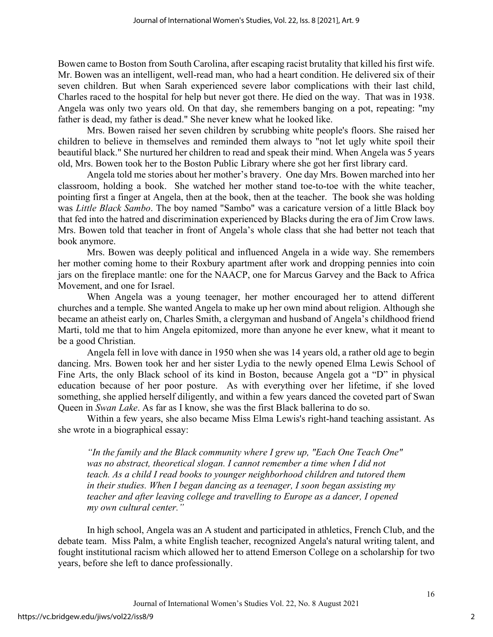Bowen came to Boston from South Carolina, after escaping racist brutality that killed his first wife. Mr. Bowen was an intelligent, well-read man, who had a heart condition. He delivered six of their seven children. But when Sarah experienced severe labor complications with their last child, Charles raced to the hospital for help but never got there. He died on the way. That was in 1938. Angela was only two years old. On that day, she remembers banging on a pot, repeating: "my father is dead, my father is dead." She never knew what he looked like.

Mrs. Bowen raised her seven children by scrubbing white people's floors. She raised her children to believe in themselves and reminded them always to "not let ugly white spoil their beautiful black." She nurtured her children to read and speak their mind. When Angela was 5 years old, Mrs. Bowen took her to the Boston Public Library where she got her first library card.

Angela told me stories about her mother's bravery. One day Mrs. Bowen marched into her classroom, holding a book. She watched her mother stand toe-to-toe with the white teacher, pointing first a finger at Angela, then at the book, then at the teacher. The book she was holding was *Little Black Sambo*. The boy named "Sambo" was a caricature version of a little Black boy that fed into the hatred and discrimination experienced by Blacks during the era of Jim Crow laws. Mrs. Bowen told that teacher in front of Angela's whole class that she had better not teach that book anymore.

Mrs. Bowen was deeply political and influenced Angela in a wide way. She remembers her mother coming home to their Roxbury apartment after work and dropping pennies into coin jars on the fireplace mantle: one for the NAACP, one for Marcus Garvey and the Back to Africa Movement, and one for Israel.

When Angela was a young teenager, her mother encouraged her to attend different churches and a temple. She wanted Angela to make up her own mind about religion. Although she became an atheist early on, Charles Smith, a clergyman and husband of Angela's childhood friend Marti, told me that to him Angela epitomized, more than anyone he ever knew, what it meant to be a good Christian.

Angela fell in love with dance in 1950 when she was 14 years old, a rather old age to begin dancing. Mrs. Bowen took her and her sister Lydia to the newly opened Elma Lewis School of Fine Arts, the only Black school of its kind in Boston, because Angela got a "D" in physical education because of her poor posture. As with everything over her lifetime, if she loved something, she applied herself diligently, and within a few years danced the coveted part of Swan Queen in *Swan Lake*. As far as I know, she was the first Black ballerina to do so.

Within a few years, she also became Miss Elma Lewis's right-hand teaching assistant. As she wrote in a biographical essay:

*"In the family and the Black community where I grew up, "Each One Teach One"*  was no abstract, theoretical slogan. I cannot remember a time when I did not *teach. As a child I read books to younger neighborhood children and tutored them in their studies. When I began dancing as a teenager, I soon began assisting my teacher and after leaving college and travelling to Europe as a dancer, I opened my own cultural center."* 

In high school, Angela was an A student and participated in athletics, French Club, and the debate team. Miss Palm, a white English teacher, recognized Angela's natural writing talent, and fought institutional racism which allowed her to attend Emerson College on a scholarship for two years, before she left to dance professionally.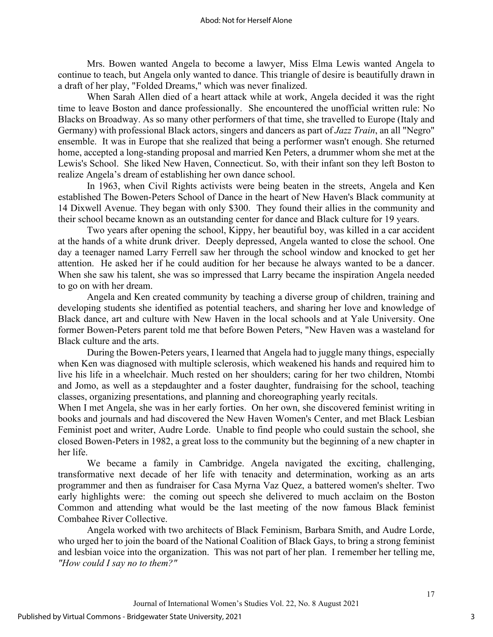Mrs. Bowen wanted Angela to become a lawyer, Miss Elma Lewis wanted Angela to continue to teach, but Angela only wanted to dance. This triangle of desire is beautifully drawn in a draft of her play, "Folded Dreams," which was never finalized.

When Sarah Allen died of a heart attack while at work, Angela decided it was the right time to leave Boston and dance professionally. She encountered the unofficial written rule: No Blacks on Broadway. As so many other performers of that time, she travelled to Europe (Italy and Germany) with professional Black actors, singers and dancers as part of *Jazz Train*, an all "Negro" ensemble. It was in Europe that she realized that being a performer wasn't enough. She returned home, accepted a long-standing proposal and married Ken Peters, a drummer whom she met at the Lewis's School. She liked New Haven, Connecticut. So, with their infant son they left Boston to realize Angela's dream of establishing her own dance school.

In 1963, when Civil Rights activists were being beaten in the streets, Angela and Ken established The Bowen-Peters School of Dance in the heart of New Haven's Black community at 14 Dixwell Avenue. They began with only \$300. They found their allies in the community and their school became known as an outstanding center for dance and Black culture for 19 years.

Two years after opening the school, Kippy, her beautiful boy, was killed in a car accident at the hands of a white drunk driver. Deeply depressed, Angela wanted to close the school. One day a teenager named Larry Ferrell saw her through the school window and knocked to get her attention. He asked her if he could audition for her because he always wanted to be a dancer. When she saw his talent, she was so impressed that Larry became the inspiration Angela needed to go on with her dream.

Angela and Ken created community by teaching a diverse group of children, training and developing students she identified as potential teachers, and sharing her love and knowledge of Black dance, art and culture with New Haven in the local schools and at Yale University. One former Bowen-Peters parent told me that before Bowen Peters, "New Haven was a wasteland for Black culture and the arts.

During the Bowen-Peters years, I learned that Angela had to juggle many things, especially when Ken was diagnosed with multiple sclerosis, which weakened his hands and required him to live his life in a wheelchair. Much rested on her shoulders; caring for her two children, Ntombi and Jomo, as well as a stepdaughter and a foster daughter, fundraising for the school, teaching classes, organizing presentations, and planning and choreographing yearly recitals.

When I met Angela, she was in her early forties. On her own, she discovered feminist writing in books and journals and had discovered the New Haven Women's Center, and met Black Lesbian Feminist poet and writer, Audre Lorde. Unable to find people who could sustain the school, she closed Bowen-Peters in 1982, a great loss to the community but the beginning of a new chapter in her life.

We became a family in Cambridge. Angela navigated the exciting, challenging, transformative next decade of her life with tenacity and determination, working as an arts programmer and then as fundraiser for Casa Myrna Vaz Quez, a battered women's shelter. Two early highlights were: the coming out speech she delivered to much acclaim on the Boston Common and attending what would be the last meeting of the now famous Black feminist Combahee River Collective.

Angela worked with two architects of Black Feminism, Barbara Smith, and Audre Lorde, who urged her to join the board of the National Coalition of Black Gays, to bring a strong feminist and lesbian voice into the organization. This was not part of her plan. I remember her telling me, *"How could I say no to them?"*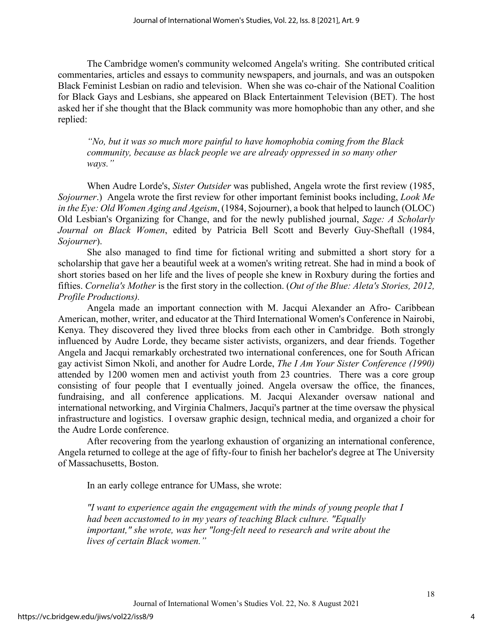The Cambridge women's community welcomed Angela's writing. She contributed critical commentaries, articles and essays to community newspapers, and journals, and was an outspoken Black Feminist Lesbian on radio and television. When she was co-chair of the National Coalition for Black Gays and Lesbians, she appeared on Black Entertainment Television (BET). The host asked her if she thought that the Black community was more homophobic than any other, and she replied:

*"No, but it was so much more painful to have homophobia coming from the Black community, because as black people we are already oppressed in so many other ways."* 

When Audre Lorde's, *Sister Outsider* was published, Angela wrote the first review (1985, *Sojourner*.) Angela wrote the first review for other important feminist books including, *Look Me in the Eye: Old Women Aging and Ageism*, (1984, Sojourner), a book that helped to launch (OLOC) Old Lesbian's Organizing for Change, and for the newly published journal, *Sage: A Scholarly Journal on Black Women*, edited by Patricia Bell Scott and Beverly Guy-Sheftall (1984, *Sojourner*).

She also managed to find time for fictional writing and submitted a short story for a scholarship that gave her a beautiful week at a women's writing retreat. She had in mind a book of short stories based on her life and the lives of people she knew in Roxbury during the forties and fifties. *Cornelia's Mother* is the first story in the collection. (*Out of the Blue: Aleta's Stories, 2012, Profile Productions).*

Angela made an important connection with M. Jacqui Alexander an Afro- Caribbean American, mother, writer, and educator at the Third International Women's Conference in Nairobi, Kenya. They discovered they lived three blocks from each other in Cambridge. Both strongly influenced by Audre Lorde, they became sister activists, organizers, and dear friends. Together Angela and Jacqui remarkably orchestrated two international conferences, one for South African gay activist Simon Nkoli, and another for Audre Lorde, *The I Am Your Sister Conference (1990)*  attended by 1200 women men and activist youth from 23 countries. There was a core group consisting of four people that I eventually joined. Angela oversaw the office, the finances, fundraising, and all conference applications. M. Jacqui Alexander oversaw national and international networking, and Virginia Chalmers, Jacqui's partner at the time oversaw the physical infrastructure and logistics. I oversaw graphic design, technical media, and organized a choir for the Audre Lorde conference.

After recovering from the yearlong exhaustion of organizing an international conference, Angela returned to college at the age of fifty-four to finish her bachelor's degree at The University of Massachusetts, Boston.

In an early college entrance for UMass, she wrote:

*"I want to experience again the engagement with the minds of young people that I had been accustomed to in my years of teaching Black culture. "Equally*  important," she wrote, was her "long-felt need to research and write about the *lives of certain Black women."*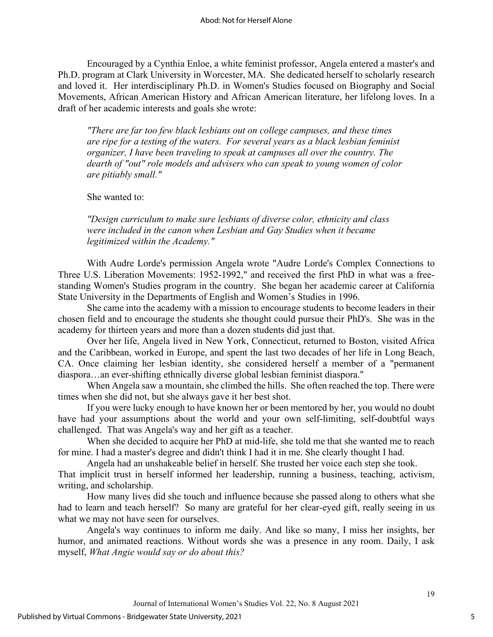Encouraged by a Cynthia Enloe, a white feminist professor, Angela entered a master's and Ph.D. program at Clark University in Worcester, MA. She dedicated herself to scholarly research and loved it. Her interdisciplinary Ph.D. in Women's Studies focused on Biography and Social Movements, African American History and African American literature, her lifelong loves. In a draft of her academic interests and goals she wrote:

*"There are far too few black lesbians out on college campuses, and these times are ripe for a testing of the waters. For several years as a black lesbian feminist organizer, I have been traveling to speak at campuses all over the country. The dearth of "out" role models and advisers who can speak to young women of color are pitiably small."* 

She wanted to:

*"Design curriculum to make sure lesbians of diverse color, ethnicity and class were included in the canon when Lesbian and Gay Studies when it became legitimized within the Academy."*

With Audre Lorde's permission Angela wrote "Audre Lorde's Complex Connections to Three U.S. Liberation Movements: 1952-1992," and received the first PhD in what was a freestanding Women's Studies program in the country. She began her academic career at California State University in the Departments of English and Women's Studies in 1996.

She came into the academy with a mission to encourage students to become leaders in their chosen field and to encourage the students she thought could pursue their PhD's. She was in the academy for thirteen years and more than a dozen students did just that.

Over her life, Angela lived in New York, Connecticut, returned to Boston, visited Africa and the Caribbean, worked in Europe, and spent the last two decades of her life in Long Beach, CA. Once claiming her lesbian identity, she considered herself a member of a "permanent diaspora…an ever-shifting ethnically diverse global lesbian feminist diaspora."

When Angela saw a mountain, she climbed the hills. She often reached the top. There were times when she did not, but she always gave it her best shot.

If you were lucky enough to have known her or been mentored by her, you would no doubt have had your assumptions about the world and your own self-limiting, self-doubtful ways challenged. That was Angela's way and her gift as a teacher.

When she decided to acquire her PhD at mid-life, she told me that she wanted me to reach for mine. I had a master's degree and didn't think I had it in me. She clearly thought I had.

Angela had an unshakeable belief in herself. She trusted her voice each step she took.

That implicit trust in herself informed her leadership, running a business, teaching, activism, writing, and scholarship.

How many lives did she touch and influence because she passed along to others what she had to learn and teach herself? So many are grateful for her clear-eyed gift, really seeing in us what we may not have seen for ourselves.

Angela's way continues to inform me daily. And like so many, I miss her insights, her humor, and animated reactions. Without words she was a presence in any room. Daily, I ask myself, *What Angie would say or do about this?*